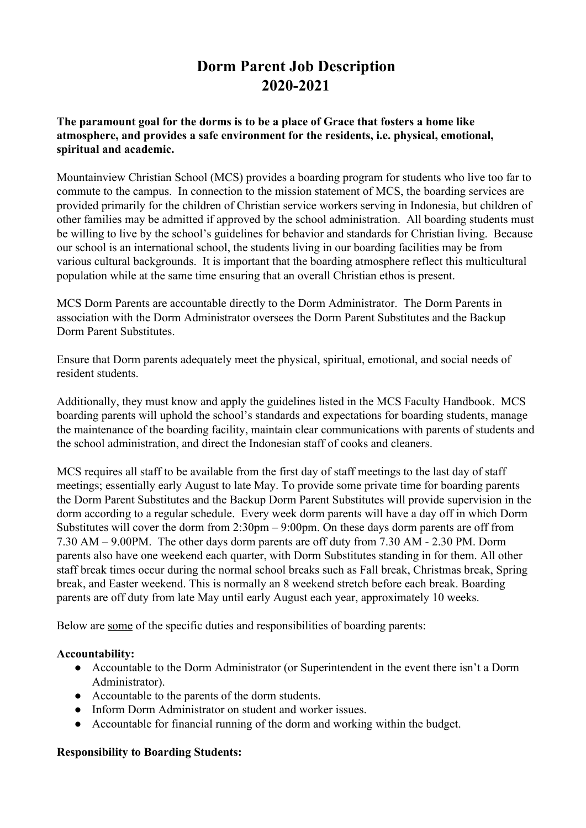## **Dorm Parent Job Description 2020-2021**

#### **The paramount goal for the dorms is to be a place of Grace that fosters a home like atmosphere, and provides a safe environment for the residents, i.e. physical, emotional, spiritual and academic.**

Mountainview Christian School (MCS) provides a boarding program for students who live too far to commute to the campus. In connection to the mission statement of MCS, the boarding services are provided primarily for the children of Christian service workers serving in Indonesia, but children of other families may be admitted if approved by the school administration. All boarding students must be willing to live by the school's guidelines for behavior and standards for Christian living. Because our school is an international school, the students living in our boarding facilities may be from various cultural backgrounds. It is important that the boarding atmosphere reflect this multicultural population while at the same time ensuring that an overall Christian ethos is present.

MCS Dorm Parents are accountable directly to the Dorm Administrator. The Dorm Parents in association with the Dorm Administrator oversees the Dorm Parent Substitutes and the Backup Dorm Parent Substitutes.

Ensure that Dorm parents adequately meet the physical, spiritual, emotional, and social needs of resident students.

Additionally, they must know and apply the guidelines listed in the MCS Faculty Handbook. MCS boarding parents will uphold the school's standards and expectations for boarding students, manage the maintenance of the boarding facility, maintain clear communications with parents of students and the school administration, and direct the Indonesian staff of cooks and cleaners.

MCS requires all staff to be available from the first day of staff meetings to the last day of staff meetings; essentially early August to late May. To provide some private time for boarding parents the Dorm Parent Substitutes and the Backup Dorm Parent Substitutes will provide supervision in the dorm according to a regular schedule. Every week dorm parents will have a day off in which Dorm Substitutes will cover the dorm from 2:30pm – 9:00pm. On these days dorm parents are off from 7.30 AM – 9.00PM. The other days dorm parents are off duty from 7.30 AM - 2.30 PM. Dorm parents also have one weekend each quarter, with Dorm Substitutes standing in for them. All other staff break times occur during the normal school breaks such as Fall break, Christmas break, Spring break, and Easter weekend. This is normally an 8 weekend stretch before each break. Boarding parents are off duty from late May until early August each year, approximately 10 weeks.

Below are some of the specific duties and responsibilities of boarding parents:

#### **Accountability:**

- Accountable to the Dorm Administrator (or Superintendent in the event there isn't a Dorm Administrator).
- Accountable to the parents of the dorm students.
- Inform Dorm Administrator on student and worker issues.
- Accountable for financial running of the dorm and working within the budget.

#### **Responsibility to Boarding Students:**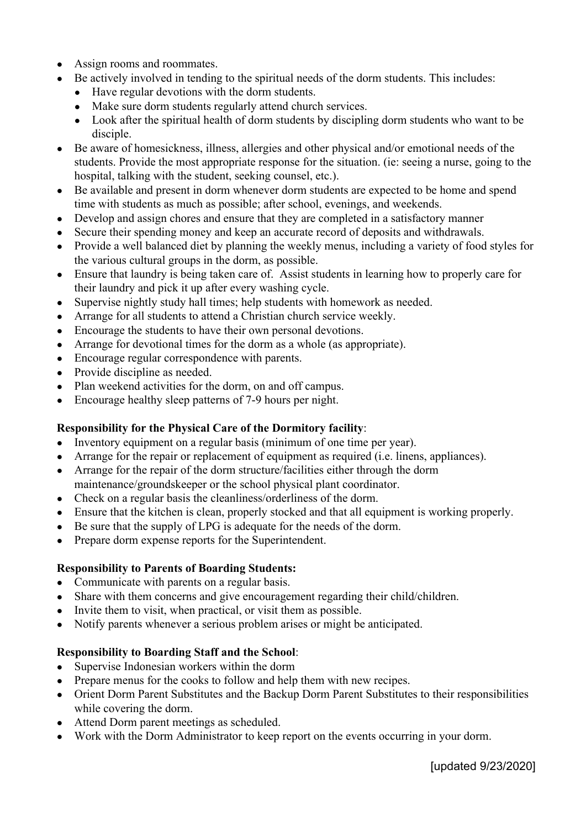- Assign rooms and roommates.
- Be actively involved in tending to the spiritual needs of the dorm students. This includes:
	- Have regular devotions with the dorm students.
	- Make sure dorm students regularly attend church services.
	- Look after the spiritual health of dorm students by discipling dorm students who want to be disciple.
- Be aware of homesickness, illness, allergies and other physical and/or emotional needs of the students. Provide the most appropriate response for the situation. (ie: seeing a nurse, going to the hospital, talking with the student, seeking counsel, etc.).
- Be available and present in dorm whenever dorm students are expected to be home and spend time with students as much as possible; after school, evenings, and weekends.
- Develop and assign chores and ensure that they are completed in a satisfactory manner
- Secure their spending money and keep an accurate record of deposits and withdrawals.
- Provide a well balanced diet by planning the weekly menus, including a variety of food styles for the various cultural groups in the dorm, as possible.
- Ensure that laundry is being taken care of. Assist students in learning how to properly care for their laundry and pick it up after every washing cycle.
- Supervise nightly study hall times; help students with homework as needed.
- Arrange for all students to attend a Christian church service weekly.
- Encourage the students to have their own personal devotions.
- Arrange for devotional times for the dorm as a whole (as appropriate).
- Encourage regular correspondence with parents.
- Provide discipline as needed.
- Plan weekend activities for the dorm, on and off campus.
- Encourage healthy sleep patterns of 7-9 hours per night.

#### **Responsibility for the Physical Care of the Dormitory facility**:

- Inventory equipment on a regular basis (minimum of one time per year).
- Arrange for the repair or replacement of equipment as required (i.e. linens, appliances).
- Arrange for the repair of the dorm structure/facilities either through the dorm maintenance/groundskeeper or the school physical plant coordinator.
- Check on a regular basis the cleanliness/orderliness of the dorm.
- Ensure that the kitchen is clean, properly stocked and that all equipment is working properly.
- Be sure that the supply of LPG is adequate for the needs of the dorm.
- Prepare dorm expense reports for the Superintendent.

### **Responsibility to Parents of Boarding Students:**

- Communicate with parents on a regular basis.
- Share with them concerns and give encouragement regarding their child/children.
- Invite them to visit, when practical, or visit them as possible.
- Notify parents whenever a serious problem arises or might be anticipated.

#### **Responsibility to Boarding Staff and the School**:

- Supervise Indonesian workers within the dorm
- Prepare menus for the cooks to follow and help them with new recipes.
- Orient Dorm Parent Substitutes and the Backup Dorm Parent Substitutes to their responsibilities while covering the dorm.
- Attend Dorm parent meetings as scheduled.
- Work with the Dorm Administrator to keep report on the events occurring in your dorm.